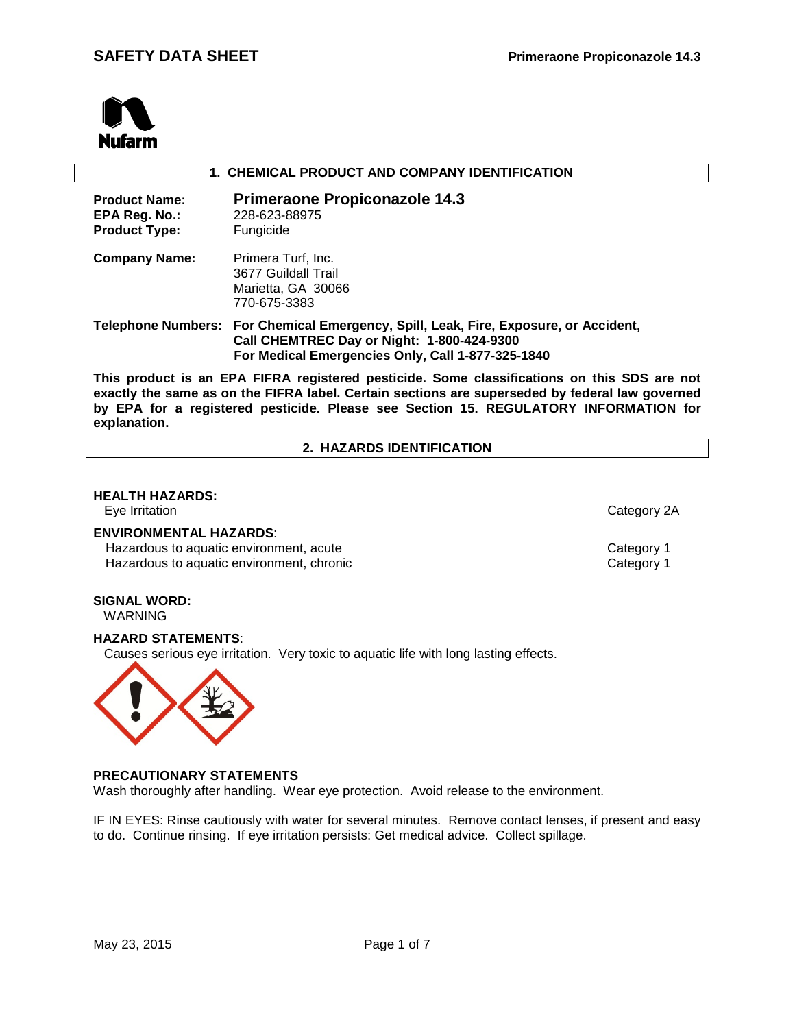

#### **1. CHEMICAL PRODUCT AND COMPANY IDENTIFICATION**

| <b>Product Name:</b><br>EPA Reg. No.:<br><b>Product Type:</b> | <b>Primeraone Propiconazole 14.3</b><br>228-623-88975<br>Fungicide                                                                                                                      |
|---------------------------------------------------------------|-----------------------------------------------------------------------------------------------------------------------------------------------------------------------------------------|
| <b>Company Name:</b>                                          | Primera Turf, Inc.<br>3677 Guildall Trail<br>Marietta, GA 30066<br>770-675-3383                                                                                                         |
|                                                               | Telephone Numbers: For Chemical Emergency, Spill, Leak, Fire, Exposure, or Accident,<br>Call CHEMTREC Day or Night: 1-800-424-9300<br>For Medical Emergencies Only, Call 1-877-325-1840 |

**This product is an EPA FIFRA registered pesticide. Some classifications on this SDS are not exactly the same as on the FIFRA label. Certain sections are superseded by federal law governed by EPA for a registered pesticide. Please see Section 15. REGULATORY INFORMATION for explanation.**

#### **2. HAZARDS IDENTIFICATION**

# **HEALTH HAZARDS:**

Eye Irritation Category 2A

#### **ENVIRONMENTAL HAZARDS**:

Hazardous to aquatic environment, acute<br>
Hazardous to aquatic environment, chronic<br>
Category 1 Hazardous to aquatic environment, chronic

#### **SIGNAL WORD:** WARNING

### **HAZARD STATEMENTS**:

Causes serious eye irritation. Very toxic to aquatic life with long lasting effects.



#### **PRECAUTIONARY STATEMENTS**

Wash thoroughly after handling. Wear eye protection. Avoid release to the environment.

IF IN EYES: Rinse cautiously with water for several minutes. Remove contact lenses, if present and easy to do. Continue rinsing. If eye irritation persists: Get medical advice. Collect spillage.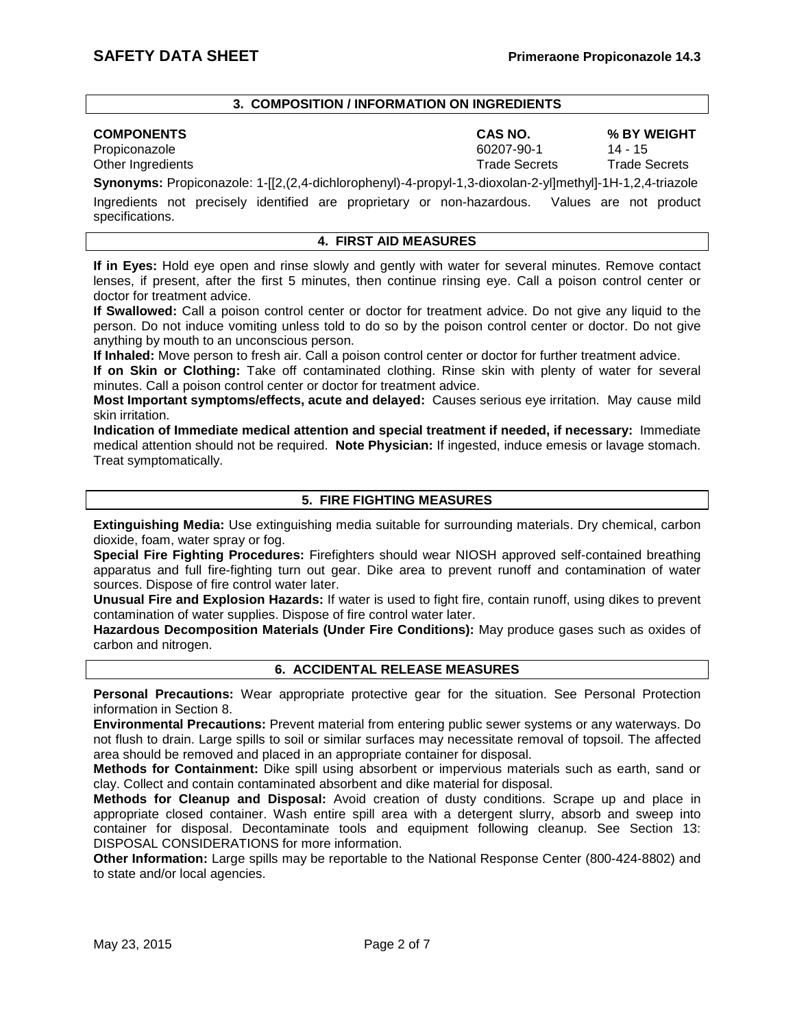#### **3. COMPOSITION / INFORMATION ON INGREDIENTS**

Propiconazole 60207-90-1<br>
Other Ingredients and the contract of the contract of the Gecrets of Trade Secrets Other Ingredients Trade Secrets Trade Secrets

specifications.

**COMPONENTS CAS NO. % BY WEIGHT**

**Synonyms:** Propiconazole: 1-[[2,(2,4-dichlorophenyl)-4-propyl-1,3-dioxolan-2-yl]methyl]-1H-1,2,4-triazole Ingredients not precisely identified are proprietary or non-hazardous. Values are not product

### **4. FIRST AID MEASURES**

**If in Eyes:** Hold eye open and rinse slowly and gently with water for several minutes. Remove contact lenses, if present, after the first 5 minutes, then continue rinsing eye. Call a poison control center or doctor for treatment advice.

**If Swallowed:** Call a poison control center or doctor for treatment advice. Do not give any liquid to the person. Do not induce vomiting unless told to do so by the poison control center or doctor. Do not give anything by mouth to an unconscious person.

**If Inhaled:** Move person to fresh air. Call a poison control center or doctor for further treatment advice.

**If on Skin or Clothing:** Take off contaminated clothing. Rinse skin with plenty of water for several minutes. Call a poison control center or doctor for treatment advice.

**Most Important symptoms/effects, acute and delayed:** Causes serious eye irritation. May cause mild skin irritation.

**Indication of Immediate medical attention and special treatment if needed, if necessary:** Immediate medical attention should not be required. **Note Physician:** If ingested, induce emesis or lavage stomach. Treat symptomatically.

# **5. FIRE FIGHTING MEASURES**

**Extinguishing Media:** Use extinguishing media suitable for surrounding materials. Dry chemical, carbon dioxide, foam, water spray or fog.

**Special Fire Fighting Procedures:** Firefighters should wear NIOSH approved self-contained breathing apparatus and full fire-fighting turn out gear. Dike area to prevent runoff and contamination of water sources. Dispose of fire control water later.

**Unusual Fire and Explosion Hazards:** If water is used to fight fire, contain runoff, using dikes to prevent contamination of water supplies. Dispose of fire control water later.

**Hazardous Decomposition Materials (Under Fire Conditions):** May produce gases such as oxides of carbon and nitrogen.

#### **6. ACCIDENTAL RELEASE MEASURES**

**Personal Precautions:** Wear appropriate protective gear for the situation. See Personal Protection information in Section 8.

**Environmental Precautions:** Prevent material from entering public sewer systems or any waterways. Do not flush to drain. Large spills to soil or similar surfaces may necessitate removal of topsoil. The affected area should be removed and placed in an appropriate container for disposal.

**Methods for Containment:** Dike spill using absorbent or impervious materials such as earth, sand or clay. Collect and contain contaminated absorbent and dike material for disposal.

**Methods for Cleanup and Disposal:** Avoid creation of dusty conditions. Scrape up and place in appropriate closed container. Wash entire spill area with a detergent slurry, absorb and sweep into container for disposal. Decontaminate tools and equipment following cleanup. See Section 13: DISPOSAL CONSIDERATIONS for more information.

**Other Information:** Large spills may be reportable to the National Response Center (800-424-8802) and to state and/or local agencies.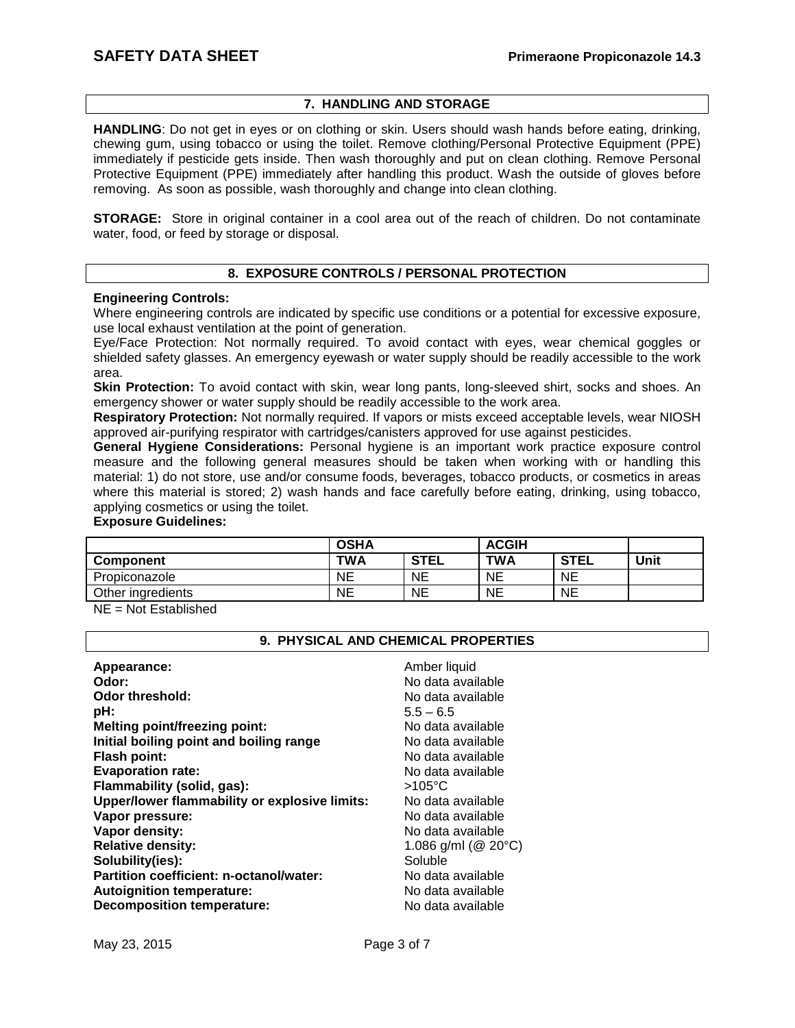# **7. HANDLING AND STORAGE**

**HANDLING**: Do not get in eyes or on clothing or skin. Users should wash hands before eating, drinking, chewing gum, using tobacco or using the toilet. Remove clothing/Personal Protective Equipment (PPE) immediately if pesticide gets inside. Then wash thoroughly and put on clean clothing. Remove Personal Protective Equipment (PPE) immediately after handling this product. Wash the outside of gloves before removing. As soon as possible, wash thoroughly and change into clean clothing.

**STORAGE:** Store in original container in a cool area out of the reach of children. Do not contaminate water, food, or feed by storage or disposal.

# **8. EXPOSURE CONTROLS / PERSONAL PROTECTION**

#### **Engineering Controls:**

Where engineering controls are indicated by specific use conditions or a potential for excessive exposure, use local exhaust ventilation at the point of generation.

Eye/Face Protection: Not normally required. To avoid contact with eyes, wear chemical goggles or shielded safety glasses. An emergency eyewash or water supply should be readily accessible to the work area.

**Skin Protection:** To avoid contact with skin, wear long pants, long-sleeved shirt, socks and shoes. An emergency shower or water supply should be readily accessible to the work area.

**Respiratory Protection:** Not normally required. If vapors or mists exceed acceptable levels, wear NIOSH approved air-purifying respirator with cartridges/canisters approved for use against pesticides.

**General Hygiene Considerations:** Personal hygiene is an important work practice exposure control measure and the following general measures should be taken when working with or handling this material: 1) do not store, use and/or consume foods, beverages, tobacco products, or cosmetics in areas where this material is stored; 2) wash hands and face carefully before eating, drinking, using tobacco, applying cosmetics or using the toilet.

#### **Exposure Guidelines:**

| <b>OSHA</b><br><b>ACGIH</b> |             |           |             |      |
|-----------------------------|-------------|-----------|-------------|------|
| <b>TWA</b>                  | <b>STEL</b> | TWA       | <b>STEL</b> | Unit |
| NE                          | <b>NE</b>   | <b>NE</b> | <b>NE</b>   |      |
| NE                          | NE          | NE        | <b>NE</b>   |      |
|                             |             |           |             |      |

NE = Not Established

#### **9. PHYSICAL AND CHEMICAL PROPERTIES**

| Appearance:<br>Odor:                          | Amber liquid<br>No data available |
|-----------------------------------------------|-----------------------------------|
| <b>Odor threshold:</b>                        | No data available                 |
| pH:                                           | $5.5 - 6.5$                       |
| <b>Melting point/freezing point:</b>          | No data available                 |
| Initial boiling point and boiling range       | No data available                 |
| <b>Flash point:</b>                           | No data available                 |
| <b>Evaporation rate:</b>                      | No data available                 |
| Flammability (solid, gas):                    | $>105^{\circ}$ C                  |
| Upper/lower flammability or explosive limits: | No data available                 |
| Vapor pressure:                               | No data available                 |
| Vapor density:                                | No data available                 |
| <b>Relative density:</b>                      | 1.086 g/ml ( $@$ 20 $°C$ )        |
| Solubility(ies):                              | Soluble                           |
| Partition coefficient: n-octanol/water:       | No data available                 |
| <b>Autoignition temperature:</b>              | No data available                 |
| <b>Decomposition temperature:</b>             | No data available                 |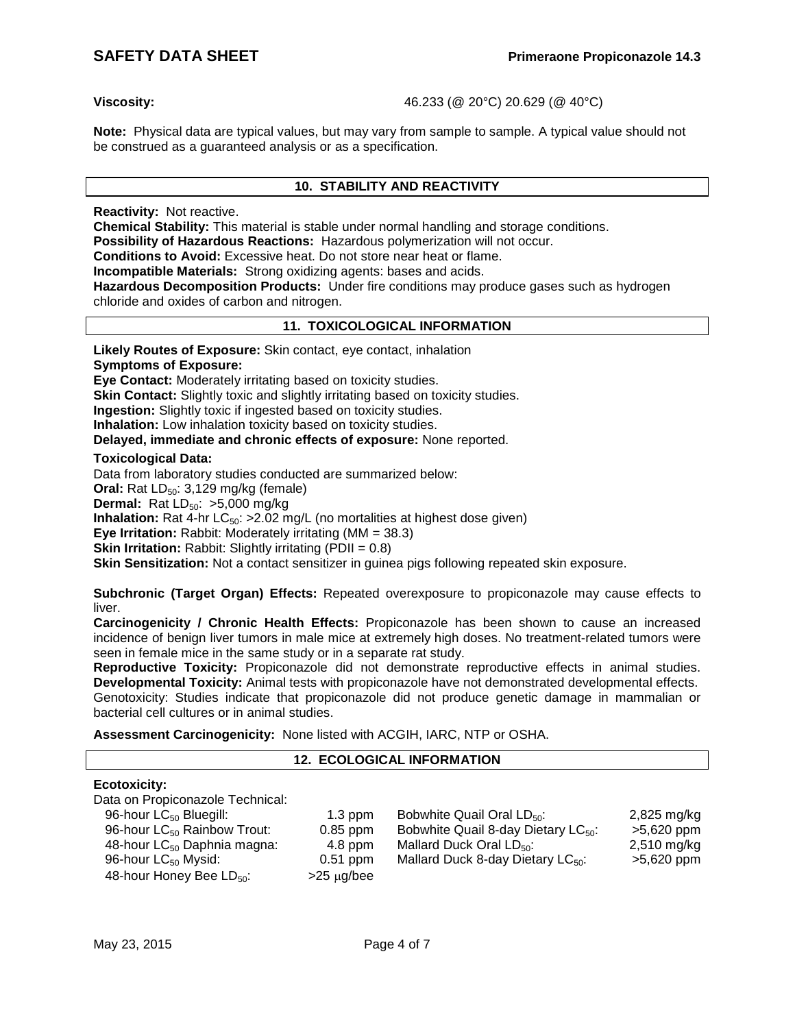**Viscosity:** 46.233 (@ 20°C) 20.629 (@ 40°C)

**Note:** Physical data are typical values, but may vary from sample to sample. A typical value should not be construed as a guaranteed analysis or as a specification.

# **10. STABILITY AND REACTIVITY**

**Reactivity:** Not reactive.

**Chemical Stability:** This material is stable under normal handling and storage conditions.

**Possibility of Hazardous Reactions:** Hazardous polymerization will not occur.

**Conditions to Avoid:** Excessive heat. Do not store near heat or flame.

**Incompatible Materials:** Strong oxidizing agents: bases and acids.

**Hazardous Decomposition Products:** Under fire conditions may produce gases such as hydrogen chloride and oxides of carbon and nitrogen.

# **11. TOXICOLOGICAL INFORMATION**

**Likely Routes of Exposure:** Skin contact, eye contact, inhalation

**Symptoms of Exposure:**

**Eye Contact:** Moderately irritating based on toxicity studies.

**Skin Contact:** Slightly toxic and slightly irritating based on toxicity studies.

**Ingestion:** Slightly toxic if ingested based on toxicity studies.

**Inhalation:** Low inhalation toxicity based on toxicity studies.

**Delayed, immediate and chronic effects of exposure:** None reported.

#### **Toxicological Data:**

Data from laboratory studies conducted are summarized below:

**Oral:** Rat LD<sub>50</sub>: 3,129 mg/kg (female)

**Dermal:** Rat LD<sub>50</sub>: >5,000 mg/kg

**Inhalation:** Rat 4-hr LC<sub>50</sub>: >2.02 mg/L (no mortalities at highest dose given)

**Eye Irritation:** Rabbit: Moderately irritating (MM = 38.3)

**Skin Irritation:** Rabbit: Slightly irritating (PDII = 0.8)

**Skin Sensitization:** Not a contact sensitizer in guinea pigs following repeated skin exposure.

**Subchronic (Target Organ) Effects:** Repeated overexposure to propiconazole may cause effects to liver.

**Carcinogenicity / Chronic Health Effects:** Propiconazole has been shown to cause an increased incidence of benign liver tumors in male mice at extremely high doses. No treatment-related tumors were seen in female mice in the same study or in a separate rat study.

**Reproductive Toxicity:** Propiconazole did not demonstrate reproductive effects in animal studies. **Developmental Toxicity:** Animal tests with propiconazole have not demonstrated developmental effects. Genotoxicity: Studies indicate that propiconazole did not produce genetic damage in mammalian or bacterial cell cultures or in animal studies.

**Assessment Carcinogenicity:** None listed with ACGIH, IARC, NTP or OSHA.

## **12. ECOLOGICAL INFORMATION**

### **Ecotoxicity:**

Data on Propiconazole Technical:

| 96-hour LC <sub>50</sub> Bluegill:      | $1.3$ ppm       | Bobwhite Quail Oral LD <sub>50</sub> :          | 2,825 mg/kg   |
|-----------------------------------------|-----------------|-------------------------------------------------|---------------|
| 96-hour LC <sub>50</sub> Rainbow Trout: | $0.85$ ppm      | Bobwhite Quail 8-day Dietary LC <sub>50</sub> : | >5,620 ppm    |
| 48-hour LC <sub>50</sub> Daphnia magna: | $4.8$ ppm       | Mallard Duck Oral $LD_{50}$ :                   | $2,510$ mg/kg |
| 96-hour $LC_{50}$ Mysid:                | $0.51$ ppm      | Mallard Duck 8-day Dietary $LC_{50}$ :          | $>5,620$ ppm  |
| 48-hour Honey Bee LD <sub>50</sub> :    | $>25 \mu g/bee$ |                                                 |               |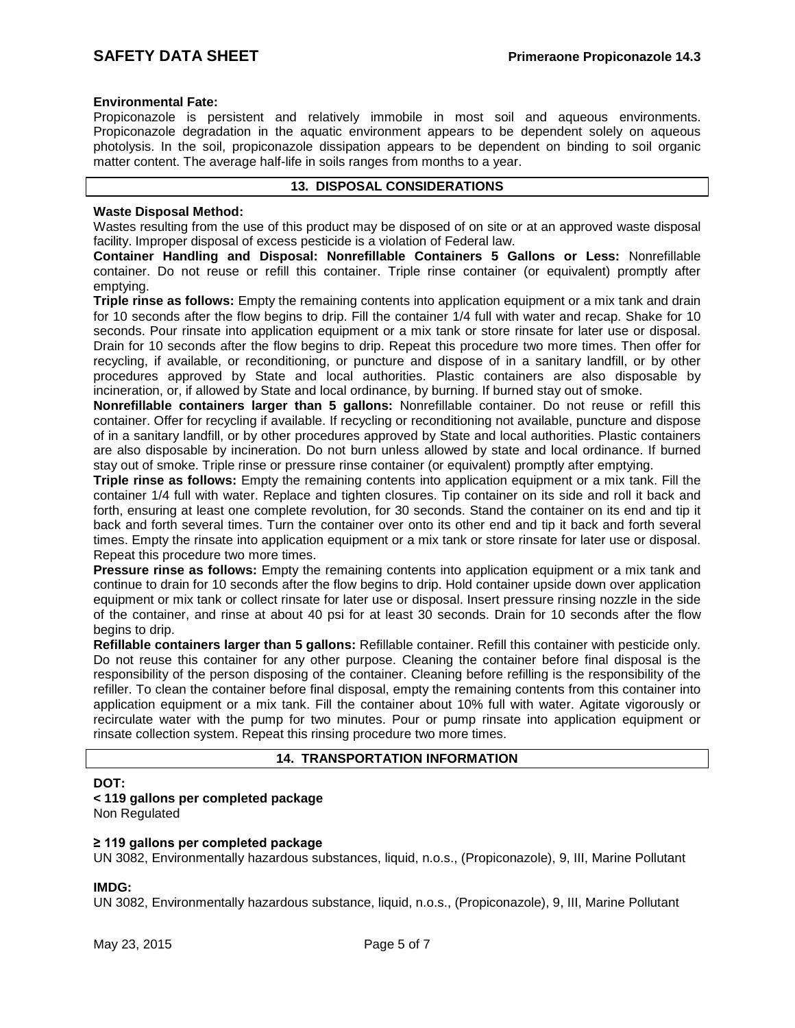#### **Environmental Fate:**

Propiconazole is persistent and relatively immobile in most soil and aqueous environments. Propiconazole degradation in the aquatic environment appears to be dependent solely on aqueous photolysis. In the soil, propiconazole dissipation appears to be dependent on binding to soil organic matter content. The average half-life in soils ranges from months to a year.

# **13. DISPOSAL CONSIDERATIONS**

#### **Waste Disposal Method:**

Wastes resulting from the use of this product may be disposed of on site or at an approved waste disposal facility. Improper disposal of excess pesticide is a violation of Federal law.

**Container Handling and Disposal: Nonrefillable Containers 5 Gallons or Less:** Nonrefillable container. Do not reuse or refill this container. Triple rinse container (or equivalent) promptly after emptying.

**Triple rinse as follows:** Empty the remaining contents into application equipment or a mix tank and drain for 10 seconds after the flow begins to drip. Fill the container 1/4 full with water and recap. Shake for 10 seconds. Pour rinsate into application equipment or a mix tank or store rinsate for later use or disposal. Drain for 10 seconds after the flow begins to drip. Repeat this procedure two more times. Then offer for recycling, if available, or reconditioning, or puncture and dispose of in a sanitary landfill, or by other procedures approved by State and local authorities. Plastic containers are also disposable by incineration, or, if allowed by State and local ordinance, by burning. If burned stay out of smoke.

**Nonrefillable containers larger than 5 gallons:** Nonrefillable container. Do not reuse or refill this container. Offer for recycling if available. If recycling or reconditioning not available, puncture and dispose of in a sanitary landfill, or by other procedures approved by State and local authorities. Plastic containers are also disposable by incineration. Do not burn unless allowed by state and local ordinance. If burned stay out of smoke. Triple rinse or pressure rinse container (or equivalent) promptly after emptying.

**Triple rinse as follows:** Empty the remaining contents into application equipment or a mix tank. Fill the container 1/4 full with water. Replace and tighten closures. Tip container on its side and roll it back and forth, ensuring at least one complete revolution, for 30 seconds. Stand the container on its end and tip it back and forth several times. Turn the container over onto its other end and tip it back and forth several times. Empty the rinsate into application equipment or a mix tank or store rinsate for later use or disposal. Repeat this procedure two more times.

**Pressure rinse as follows:** Empty the remaining contents into application equipment or a mix tank and continue to drain for 10 seconds after the flow begins to drip. Hold container upside down over application equipment or mix tank or collect rinsate for later use or disposal. Insert pressure rinsing nozzle in the side of the container, and rinse at about 40 psi for at least 30 seconds. Drain for 10 seconds after the flow begins to drip.

**Refillable containers larger than 5 gallons:** Refillable container. Refill this container with pesticide only. Do not reuse this container for any other purpose. Cleaning the container before final disposal is the responsibility of the person disposing of the container. Cleaning before refilling is the responsibility of the refiller. To clean the container before final disposal, empty the remaining contents from this container into application equipment or a mix tank. Fill the container about 10% full with water. Agitate vigorously or recirculate water with the pump for two minutes. Pour or pump rinsate into application equipment or rinsate collection system. Repeat this rinsing procedure two more times.

# **14. TRANSPORTATION INFORMATION**

#### **DOT:**

# **< 119 gallons per completed package**

Non Regulated

#### **≥ 119 gallons per completed package**

UN 3082, Environmentally hazardous substances, liquid, n.o.s., (Propiconazole), 9, III, Marine Pollutant

#### **IMDG:**

UN 3082, Environmentally hazardous substance, liquid, n.o.s., (Propiconazole), 9, III, Marine Pollutant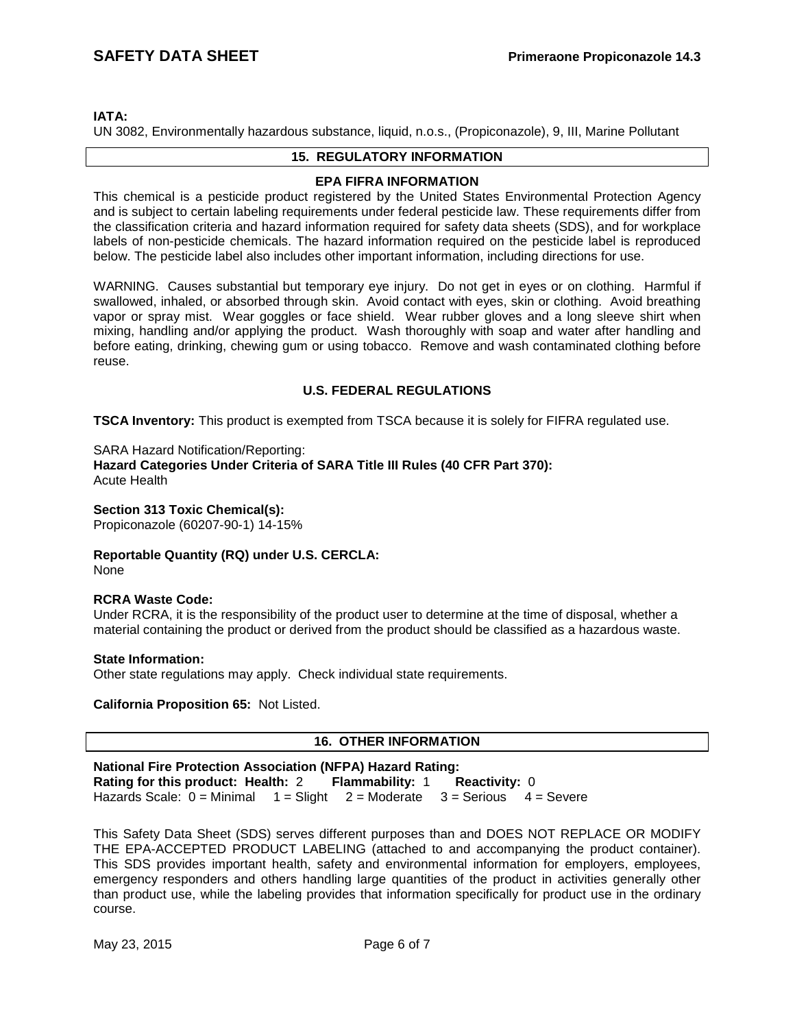### **IATA:**

UN 3082, Environmentally hazardous substance, liquid, n.o.s., (Propiconazole), 9, III, Marine Pollutant

# **15. REGULATORY INFORMATION**

#### **EPA FIFRA INFORMATION**

This chemical is a pesticide product registered by the United States Environmental Protection Agency and is subject to certain labeling requirements under federal pesticide law. These requirements differ from the classification criteria and hazard information required for safety data sheets (SDS), and for workplace labels of non-pesticide chemicals. The hazard information required on the pesticide label is reproduced below. The pesticide label also includes other important information, including directions for use.

WARNING. Causes substantial but temporary eye injury. Do not get in eyes or on clothing. Harmful if swallowed, inhaled, or absorbed through skin. Avoid contact with eyes, skin or clothing. Avoid breathing vapor or spray mist. Wear goggles or face shield. Wear rubber gloves and a long sleeve shirt when mixing, handling and/or applying the product. Wash thoroughly with soap and water after handling and before eating, drinking, chewing gum or using tobacco. Remove and wash contaminated clothing before reuse.

#### **U.S. FEDERAL REGULATIONS**

**TSCA Inventory:** This product is exempted from TSCA because it is solely for FIFRA regulated use.

SARA Hazard Notification/Reporting:

**Hazard Categories Under Criteria of SARA Title III Rules (40 CFR Part 370):** Acute Health

# **Section 313 Toxic Chemical(s):**

Propiconazole (60207-90-1) 14-15%

**Reportable Quantity (RQ) under U.S. CERCLA:** None

#### **RCRA Waste Code:**

Under RCRA, it is the responsibility of the product user to determine at the time of disposal, whether a material containing the product or derived from the product should be classified as a hazardous waste.

#### **State Information:**

Other state regulations may apply. Check individual state requirements.

**California Proposition 65:** Not Listed.

# **16. OTHER INFORMATION**

**National Fire Protection Association (NFPA) Hazard Rating: Rating for this product: Health:** 2 **Flammability:** 1 **Reactivity:** 0 Hazards Scale:  $0 =$  Minimal  $1 =$  Slight  $2 =$  Moderate  $3 =$  Serious  $4 =$  Severe

This Safety Data Sheet (SDS) serves different purposes than and DOES NOT REPLACE OR MODIFY THE EPA-ACCEPTED PRODUCT LABELING (attached to and accompanying the product container). This SDS provides important health, safety and environmental information for employers, employees, emergency responders and others handling large quantities of the product in activities generally other than product use, while the labeling provides that information specifically for product use in the ordinary course.